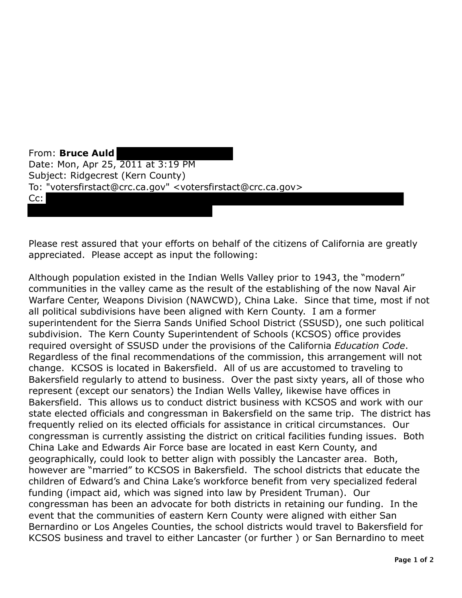From: **Bruce Auld**  Date: Mon, Apr 25, 2011 at 3:19 PM Subject: Ridgecrest (Kern County) To: "votersfirstact@crc.ca.gov" <votersfirstact@crc.ca.gov> Cc:

Please rest assured that your efforts on behalf of the citizens of California are greatly appreciated. Please accept as input the following:

Although population existed in the Indian Wells Valley prior to 1943, the "modern" communities in the valley came as the result of the establishing of the now Naval Air Warfare Center, Weapons Division (NAWCWD), China Lake. Since that time, most if not all political subdivisions have been aligned with Kern County. I am a former superintendent for the Sierra Sands Unified School District (SSUSD), one such political subdivision. The Kern County Superintendent of Schools (KCSOS) office provides required oversight of SSUSD under the provisions of the California *Education Code*. Regardless of the final recommendations of the commission, this arrangement will not change. KCSOS is located in Bakersfield. All of us are accustomed to traveling to Bakersfield regularly to attend to business. Over the past sixty years, all of those who represent (except our senators) the Indian Wells Valley, likewise have offices in Bakersfield. This allows us to conduct district business with KCSOS and work with our state elected officials and congressman in Bakersfield on the same trip. The district has frequently relied on its elected officials for assistance in critical circumstances. Our congressman is currently assisting the district on critical facilities funding issues. Both China Lake and Edwards Air Force base are located in east Kern County, and geographically, could look to better align with possibly the Lancaster area. Both, however are "married" to KCSOS in Bakersfield. The school districts that educate the children of Edward's and China Lake's workforce benefit from very specialized federal funding (impact aid, which was signed into law by President Truman). Our congressman has been an advocate for both districts in retaining our funding. In the event that the communities of eastern Kern County were aligned with either San Bernardino or Los Angeles Counties, the school districts would travel to Bakersfield for KCSOS business and travel to either Lancaster (or further ) or San Bernardino to meet